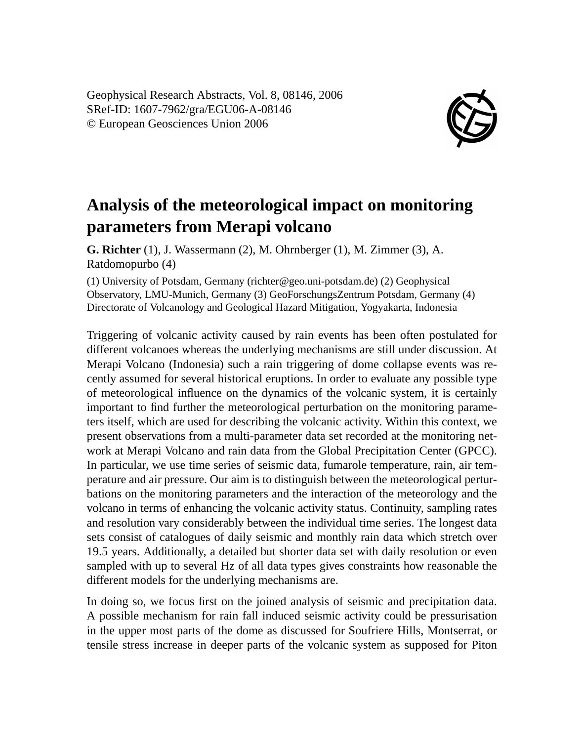Geophysical Research Abstracts, Vol. 8, 08146, 2006 SRef-ID: 1607-7962/gra/EGU06-A-08146 © European Geosciences Union 2006



## **Analysis of the meteorological impact on monitoring parameters from Merapi volcano**

**G. Richter** (1), J. Wassermann (2), M. Ohrnberger (1), M. Zimmer (3), A. Ratdomopurbo (4)

(1) University of Potsdam, Germany (richter@geo.uni-potsdam.de) (2) Geophysical Observatory, LMU-Munich, Germany (3) GeoForschungsZentrum Potsdam, Germany (4) Directorate of Volcanology and Geological Hazard Mitigation, Yogyakarta, Indonesia

Triggering of volcanic activity caused by rain events has been often postulated for different volcanoes whereas the underlying mechanisms are still under discussion. At Merapi Volcano (Indonesia) such a rain triggering of dome collapse events was recently assumed for several historical eruptions. In order to evaluate any possible type of meteorological influence on the dynamics of the volcanic system, it is certainly important to find further the meteorological perturbation on the monitoring parameters itself, which are used for describing the volcanic activity. Within this context, we present observations from a multi-parameter data set recorded at the monitoring network at Merapi Volcano and rain data from the Global Precipitation Center (GPCC). In particular, we use time series of seismic data, fumarole temperature, rain, air temperature and air pressure. Our aim is to distinguish between the meteorological perturbations on the monitoring parameters and the interaction of the meteorology and the volcano in terms of enhancing the volcanic activity status. Continuity, sampling rates and resolution vary considerably between the individual time series. The longest data sets consist of catalogues of daily seismic and monthly rain data which stretch over 19.5 years. Additionally, a detailed but shorter data set with daily resolution or even sampled with up to several Hz of all data types gives constraints how reasonable the different models for the underlying mechanisms are.

In doing so, we focus first on the joined analysis of seismic and precipitation data. A possible mechanism for rain fall induced seismic activity could be pressurisation in the upper most parts of the dome as discussed for Soufriere Hills, Montserrat, or tensile stress increase in deeper parts of the volcanic system as supposed for Piton